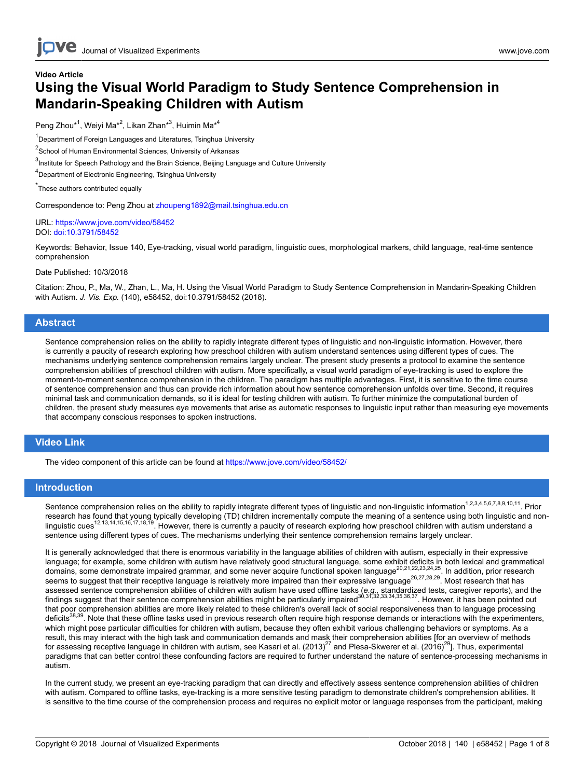# **Video Article Using the Visual World Paradigm to Study Sentence Comprehension in Mandarin-Speaking Children with Autism**

Peng Zhou\*<sup>1</sup>, Weiyi Ma\*<sup>2</sup>, Likan Zhan\*<sup>3</sup>, Huimin Ma\*<sup>4</sup>

<sup>1</sup>Department of Foreign Languages and Literatures, Tsinghua University

<sup>2</sup>School of Human Environmental Sciences, University of Arkansas

<sup>3</sup>Institute for Speech Pathology and the Brain Science, Beijing Language and Culture University

4 Department of Electronic Engineering, Tsinghua University

\* These authors contributed equally

Correspondence to: Peng Zhou at [zhoupeng1892@mail.tsinghua.edu.cn](mailto:zhoupeng1892@mail.tsinghua.edu.cn)

URL:<https://www.jove.com/video/58452> DOI: [doi:10.3791/58452](http://dx.doi.org/10.3791/58452)

Keywords: Behavior, Issue 140, Eye-tracking, visual world paradigm, linguistic cues, morphological markers, child language, real-time sentence comprehension

Date Published: 10/3/2018

Citation: Zhou, P., Ma, W., Zhan, L., Ma, H. Using the Visual World Paradigm to Study Sentence Comprehension in Mandarin-Speaking Children with Autism. *J. Vis. Exp.* (140), e58452, doi:10.3791/58452 (2018).

### **Abstract**

Sentence comprehension relies on the ability to rapidly integrate different types of linguistic and non-linguistic information. However, there is currently a paucity of research exploring how preschool children with autism understand sentences using different types of cues. The mechanisms underlying sentence comprehension remains largely unclear. The present study presents a protocol to examine the sentence comprehension abilities of preschool children with autism. More specifically, a visual world paradigm of eye-tracking is used to explore the moment-to-moment sentence comprehension in the children. The paradigm has multiple advantages. First, it is sensitive to the time course of sentence comprehension and thus can provide rich information about how sentence comprehension unfolds over time. Second, it requires minimal task and communication demands, so it is ideal for testing children with autism. To further minimize the computational burden of children, the present study measures eye movements that arise as automatic responses to linguistic input rather than measuring eye movements that accompany conscious responses to spoken instructions.

#### **Video Link**

The video component of this article can be found at <https://www.jove.com/video/58452/>

### **Introduction**

Sentence comprehension relies on the ability to rapidly integrate different types of linguistic and non-linguistic information<sup>1,2,3,4,5,6,7,8,9,10,11</sup>. Prior research has found that young typically developing (TD) children incrementally compute the meaning of a sentence using both linguistic and non-<br>linguistic cues<sup>12,13,14,15,15,17,18,19</sup>. However, there is currently a paucit sentence using different types of cues. The mechanisms underlying their sentence comprehension remains largely unclear.

It is generally acknowledged that there is enormous variability in the language abilities of children with autism, especially in their expressive language; for example, some children with autism have relatively good structural language, some exhibit deficits in both lexical and grammatical domains, some demonstrate impaired grammar, and some never acquire functional spoken language<sup>20,21,22,23,24,25</sup>. In addition, prior research seems to suggest that their receptive language is relatively more impaired than their expressive language<sup>26,27,28,29</sup>. Most research that has assessed sentence comprehension abilities of children with autism have used offline tasks (*e.g.*, standardized tests, caregiver reports), and the<br>findings suggest that their sentence comprehension abilities might be parti that poor comprehension abilities are more likely related to these children's overall lack of social responsiveness than to language processing deficits<sup>38,39</sup>. Note that these offline tasks used in previous research often require high response demands or interactions with the experimenters, which might pose particular difficulties for children with autism, because they often exhibit various challenging behaviors or symptoms. As a result, this may interact with the high task and communication demands and mask their comprehension abilities [for an overview of methods for assessing receptive language in children with autism, see Kasari et al.  $(2013)^{27}$  and Plesa-Skwerer et al.  $(2016)^{29}$ . Thus, experimental paradigms that can better control these confounding factors are required to further understand the nature of sentence-processing mechanisms in autism.

In the current study, we present an eye-tracking paradigm that can directly and effectively assess sentence comprehension abilities of children with autism. Compared to offline tasks, eye-tracking is a more sensitive testing paradigm to demonstrate children's comprehension abilities. It is sensitive to the time course of the comprehension process and requires no explicit motor or language responses from the participant, making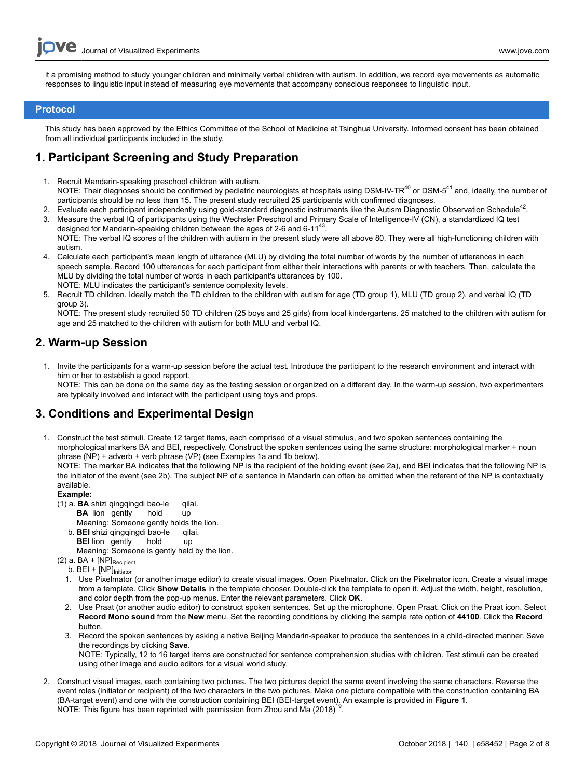it a promising method to study younger children and minimally verbal children with autism. In addition, we record eye movements as automatic responses to linguistic input instead of measuring eye movements that accompany conscious responses to linguistic input.

### **Protocol**

This study has been approved by the Ethics Committee of the School of Medicine at Tsinghua University. Informed consent has been obtained from all individual participants included in the study.

# **1. Participant Screening and Study Preparation**

- 1. Recruit Mandarin-speaking preschool children with autism. NOTE: Their diagnoses should be confirmed by pediatric neurologists at hospitals using DSM-IV-TR<sup>40</sup> or DSM-5<sup>41</sup> and, ideally, the number of participants should be no less than 15. The present study recruited 25 participants with confirmed diagnoses.
- 2. Evaluate each participant independently using gold-standard diagnostic instruments like the Autism Diagnostic Observation Schedule<sup>42</sup>.
- 3. Measure the verbal IQ of participants using the Wechsler Preschool and Primary Scale of Intelligence-IV (CN), a standardized IQ test designed for Mandarin-speaking children between the ages of 2-6 and 6-11 $43$ . NOTE: The verbal IQ scores of the children with autism in the present study were all above 80. They were all high-functioning children with autism.
- 4. Calculate each participant's mean length of utterance (MLU) by dividing the total number of words by the number of utterances in each speech sample. Record 100 utterances for each participant from either their interactions with parents or with teachers. Then, calculate the MLU by dividing the total number of words in each participant's utterances by 100. NOTE: MLU indicates the participant's sentence complexity levels.
- 5. Recruit TD children. Ideally match the TD children to the children with autism for age (TD group 1), MLU (TD group 2), and verbal IQ (TD group 3).

NOTE: The present study recruited 50 TD children (25 boys and 25 girls) from local kindergartens. 25 matched to the children with autism for age and 25 matched to the children with autism for both MLU and verbal IQ.

# **2. Warm-up Session**

1. Invite the participants for a warm-up session before the actual test. Introduce the participant to the research environment and interact with him or her to establish a good rapport.

NOTE: This can be done on the same day as the testing session or organized on a different day. In the warm-up session, two experimenters are typically involved and interact with the participant using toys and props.

# **3. Conditions and Experimental Design**

1. Construct the test stimuli. Create 12 target items, each comprised of a visual stimulus, and two spoken sentences containing the morphological markers BA and BEI, respectively. Construct the spoken sentences using the same structure: morphological marker + noun phrase (NP) + adverb + verb phrase (VP) (see Examples 1a and 1b below).

NOTE: The marker BA indicates that the following NP is the recipient of the holding event (see 2a), and BEI indicates that the following NP is the initiator of the event (see 2b). The subject NP of a sentence in Mandarin can often be omitted when the referent of the NP is contextually available.

### **Example:**

- (1) a. **BA** shizi qingqingdi bao-le qilai.
	- **BA** lion gently hold up
	- Meaning: Someone gently holds the lion.
	- b. **BEI** shizi qingqingdi bao-le qilai. **BEI** lion gently hold up
	- Meaning: Someone is gently held by the lion.
- $(2)$  a. BA +  $[NP]$ <sub>Recipient</sub>
	- $b.$  BEI + [NP]<sub>Initiator</sub>
	- 1. Use Pixelmator (or another image editor) to create visual images. Open Pixelmator. Click on the Pixelmator icon. Create a visual image from a template. Click **Show Details** in the template chooser. Double-click the template to open it. Adjust the width, height, resolution, and color depth from the pop-up menus. Enter the relevant parameters. Click **OK**.
	- 2. Use Praat (or another audio editor) to construct spoken sentences. Set up the microphone. Open Praat. Click on the Praat icon. Select **Record Mono sound** from the **New** menu. Set the recording conditions by clicking the sample rate option of **44100**. Click the **Record** button.
	- 3. Record the spoken sentences by asking a native Beijing Mandarin-speaker to produce the sentences in a child-directed manner. Save the recordings by clicking **Save**.

NOTE: Typically, 12 to 16 target items are constructed for sentence comprehension studies with children. Test stimuli can be created using other image and audio editors for a visual world study.

2. Construct visual images, each containing two pictures. The two pictures depict the same event involving the same characters. Reverse the event roles (initiator or recipient) of the two characters in the two pictures. Make one picture compatible with the construction containing BA (BA-target event) and one with the construction containing BEI (BEI-target event). An example is provided in **Figure 1**. NOTE: This figure has been reprinted with permission from Zhou and Ma (2018) .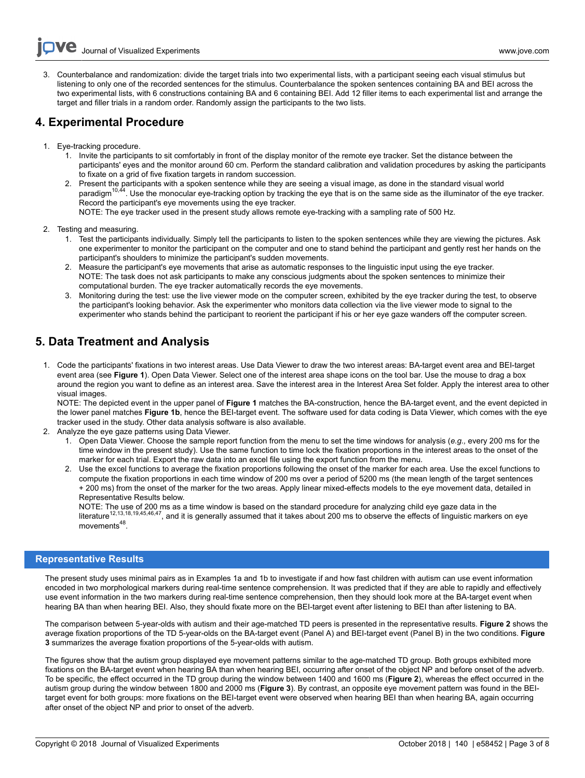3. Counterbalance and randomization: divide the target trials into two experimental lists, with a participant seeing each visual stimulus but listening to only one of the recorded sentences for the stimulus. Counterbalance the spoken sentences containing BA and BEI across the two experimental lists, with 6 constructions containing BA and 6 containing BEI. Add 12 filler items to each experimental list and arrange the target and filler trials in a random order. Randomly assign the participants to the two lists.

# **4. Experimental Procedure**

- 1. Eye-tracking procedure.
	- 1. Invite the participants to sit comfortably in front of the display monitor of the remote eye tracker. Set the distance between the participants' eyes and the monitor around 60 cm. Perform the standard calibration and validation procedures by asking the participants to fixate on a grid of five fixation targets in random succession.
	- 2. Present the participants with a spoken sentence while they are seeing a visual image, as done in the standard visual world paradigm<sup>10,44</sup>. Use the monocular eye-tracking option by tracking the eye that is on the same side as the illuminator of the eye tracker. Record the participant's eye movements using the eye tracker. NOTE: The eye tracker used in the present study allows remote eye-tracking with a sampling rate of 500 Hz.
- 2. Testing and measuring.
	- 1. Test the participants individually. Simply tell the participants to listen to the spoken sentences while they are viewing the pictures. Ask one experimenter to monitor the participant on the computer and one to stand behind the participant and gently rest her hands on the participant's shoulders to minimize the participant's sudden movements.
	- 2. Measure the participant's eye movements that arise as automatic responses to the linguistic input using the eye tracker. NOTE: The task does not ask participants to make any conscious judgments about the spoken sentences to minimize their computational burden. The eye tracker automatically records the eye movements.
	- 3. Monitoring during the test: use the live viewer mode on the computer screen, exhibited by the eye tracker during the test, to observe the participant's looking behavior. Ask the experimenter who monitors data collection via the live viewer mode to signal to the experimenter who stands behind the participant to reorient the participant if his or her eye gaze wanders off the computer screen.

# **5. Data Treatment and Analysis**

1. Code the participants' fixations in two interest areas. Use Data Viewer to draw the two interest areas: BA-target event area and BEI-target event area (see **Figure 1**). Open Data Viewer. Select one of the interest area shape icons on the tool bar. Use the mouse to drag a box around the region you want to define as an interest area. Save the interest area in the Interest Area Set folder. Apply the interest area to other visual images.

NOTE: The depicted event in the upper panel of **Figure 1** matches the BA-construction, hence the BA-target event, and the event depicted in the lower panel matches **Figure 1b**, hence the BEI-target event. The software used for data coding is Data Viewer, which comes with the eye tracker used in the study. Other data analysis software is also available.

- 2. Analyze the eye gaze patterns using Data Viewer.
	- 1. Open Data Viewer. Choose the sample report function from the menu to set the time windows for analysis (*e.g.,* every 200 ms for the time window in the present study). Use the same function to time lock the fixation proportions in the interest areas to the onset of the marker for each trial. Export the raw data into an excel file using the export function from the menu.
	- 2. Use the excel functions to average the fixation proportions following the onset of the marker for each area. Use the excel functions to compute the fixation proportions in each time window of 200 ms over a period of 5200 ms (the mean length of the target sentences + 200 ms) from the onset of the marker for the two areas. Apply linear mixed-effects models to the eye movement data, detailed in Representative Results below.

NOTE: The use of 200 ms as a time window is based on the standard procedure for analyzing child eye gaze data in the<br>literature<sup>12,13,18,19,45,46,47</sup>, and it is generally assumed that it takes about 200 ms to observe the e , and it is generally assumed that it takes about 200 ms to observe the effects of linguistic markers on eye movements<sup>48</sup>.

### **Representative Results**

The present study uses minimal pairs as in Examples 1a and 1b to investigate if and how fast children with autism can use event information encoded in two morphological markers during real-time sentence comprehension. It was predicted that if they are able to rapidly and effectively use event information in the two markers during real-time sentence comprehension, then they should look more at the BA-target event when hearing BA than when hearing BEI. Also, they should fixate more on the BEI-target event after listening to BEI than after listening to BA.

The comparison between 5-year-olds with autism and their age-matched TD peers is presented in the representative results. **Figure 2** shows the average fixation proportions of the TD 5-year-olds on the BA-target event (Panel A) and BEI-target event (Panel B) in the two conditions. **Figure 3** summarizes the average fixation proportions of the 5-year-olds with autism.

The figures show that the autism group displayed eye movement patterns similar to the age-matched TD group. Both groups exhibited more fixations on the BA-target event when hearing BA than when hearing BEI, occurring after onset of the object NP and before onset of the adverb. To be specific, the effect occurred in the TD group during the window between 1400 and 1600 ms (**Figure 2**), whereas the effect occurred in the autism group during the window between 1800 and 2000 ms (**Figure 3**). By contrast, an opposite eye movement pattern was found in the BEItarget event for both groups: more fixations on the BEI-target event were observed when hearing BEI than when hearing BA, again occurring after onset of the object NP and prior to onset of the adverb.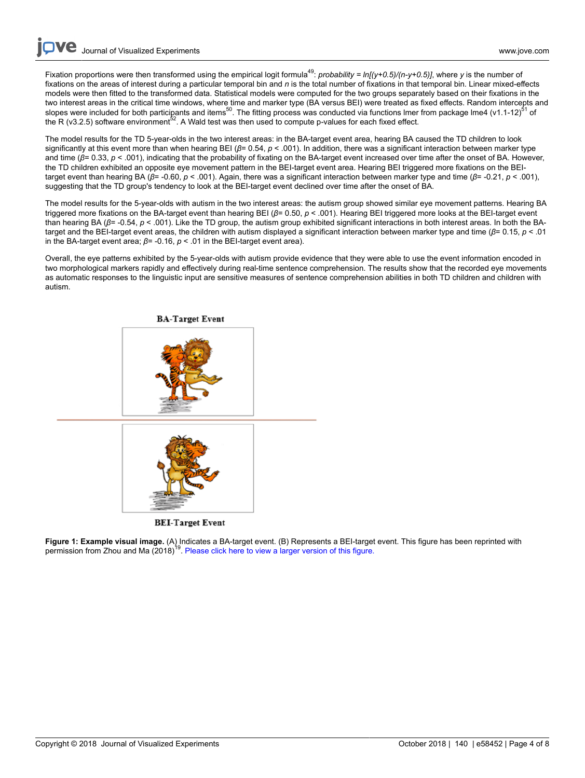Fixation proportions were then transformed using the empirical logit formula<sup>49</sup>: *probability* = ln[(y+0.5)/(n-y+0.5)], where y is the number of fixations on the areas of interest during a particular temporal bin and *n* is the total number of fixations in that temporal bin. Linear mixed-effects models were then fitted to the transformed data. Statistical models were computed for the two groups separately based on their fixations in the two interest areas in the critical time windows, where time and marker type (BA versus BEI) were treated as fixed effects. Random intercepts and slopes were included for both participants and items<sup>50</sup>. The fitting process was conducted via functions lmer from package lme4 (v1.1-12)<sup>51</sup> of the R (v3.2.5) software environment<sup>52</sup>. A Wald test was then used to compute p-values for each fixed effect.

The model results for the TD 5-year-olds in the two interest areas: in the BA-target event area, hearing BA caused the TD children to look significantly at this event more than when hearing BEI (*β*= 0.54, *p* < .001). In addition, there was a significant interaction between marker type and time ( $β = 0.33$ ,  $p < .001$ ), indicating that the probability of fixating on the BA-target event increased over time after the onset of BA. However, the TD children exhibited an opposite eye movement pattern in the BEI-target event area. Hearing BEI triggered more fixations on the BEItarget event than hearing BA (*β*= -0.60, *p* < .001). Again, there was a significant interaction between marker type and time (*β*= -0.21, *p* < .001), suggesting that the TD group's tendency to look at the BEI-target event declined over time after the onset of BA.

The model results for the 5-year-olds with autism in the two interest areas: the autism group showed similar eye movement patterns. Hearing BA triggered more fixations on the BA-target event than hearing BEI (*β*= 0.50, *p* < .001). Hearing BEI triggered more looks at the BEI-target event than hearing BA (*β*= -0.54, *p* < .001). Like the TD group, the autism group exhibited significant interactions in both interest areas. In both the BAtarget and the BEI-target event areas, the children with autism displayed a significant interaction between marker type and time (*β*= 0.15, *p* < .01 in the BA-target event area; *β*= -0.16, *p* < .01 in the BEI-target event area).

Overall, the eye patterns exhibited by the 5-year-olds with autism provide evidence that they were able to use the event information encoded in two morphological markers rapidly and effectively during real-time sentence comprehension. The results show that the recorded eye movements as automatic responses to the linguistic input are sensitive measures of sentence comprehension abilities in both TD children and children with autism.



**BEI-Target Event** 

**Figure 1: Example visual image.** (A) Indicates a BA-target event. (B) Represents a BEI-target event. This figure has been reprinted with permission from Zhou and Ma (2018)<sup>19</sup>. [Please click here to view a larger version of this figure.](https://www.jove.com/files/ftp_upload/58452/58452fig1large.jpg)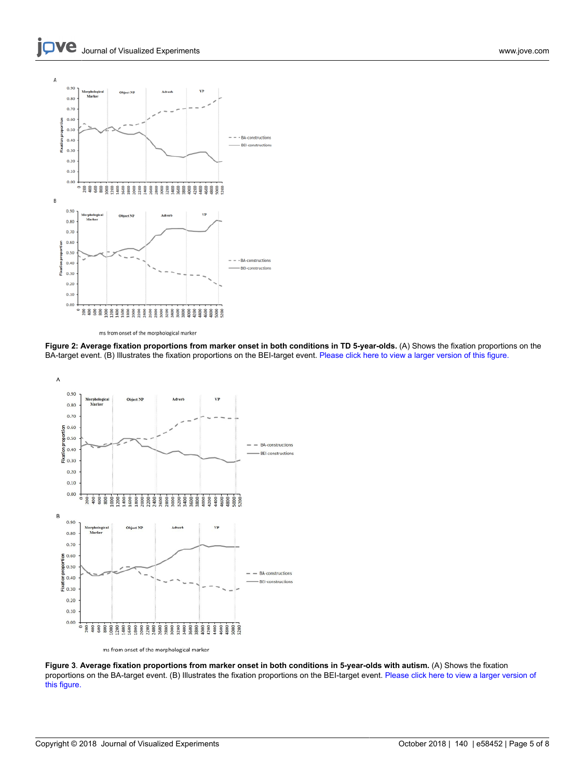



Figure 2: Average fixation proportions from marker onset in both conditions in TD 5-year-olds. (A) Shows the fixation proportions on the BA-target event. (B) Illustrates the fixation proportions on the BEI-target event. [Please click here to view a larger version of this figure.](https://www.jove.com/files/ftp_upload/58452/58452fig2large.jpg)



**Figure 3**. **Average fixation proportions from marker onset in both conditions in 5-year-olds with autism.** (A) Shows the fixation proportions on the BA-target event. (B) Illustrates the fixation proportions on the BEI-target event. [Please click here to view a larger version of](https://www.jove.com/files/ftp_upload/58452/58452fig3large.jpg) [this figure.](https://www.jove.com/files/ftp_upload/58452/58452fig3large.jpg)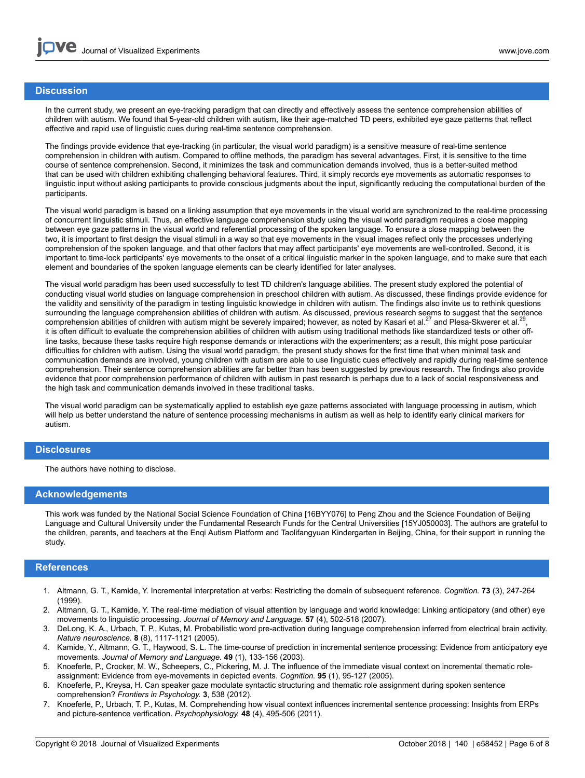### **Discussion**

In the current study, we present an eye-tracking paradigm that can directly and effectively assess the sentence comprehension abilities of children with autism. We found that 5-year-old children with autism, like their age-matched TD peers, exhibited eye gaze patterns that reflect effective and rapid use of linguistic cues during real-time sentence comprehension.

The findings provide evidence that eye-tracking (in particular, the visual world paradigm) is a sensitive measure of real-time sentence comprehension in children with autism. Compared to offline methods, the paradigm has several advantages. First, it is sensitive to the time course of sentence comprehension. Second, it minimizes the task and communication demands involved, thus is a better-suited method that can be used with children exhibiting challenging behavioral features. Third, it simply records eye movements as automatic responses to linguistic input without asking participants to provide conscious judgments about the input, significantly reducing the computational burden of the participants.

The visual world paradigm is based on a linking assumption that eye movements in the visual world are synchronized to the real-time processing of concurrent linguistic stimuli. Thus, an effective language comprehension study using the visual world paradigm requires a close mapping between eye gaze patterns in the visual world and referential processing of the spoken language. To ensure a close mapping between the two, it is important to first design the visual stimuli in a way so that eye movements in the visual images reflect only the processes underlying comprehension of the spoken language, and that other factors that may affect participants' eye movements are well-controlled. Second, it is important to time-lock participants' eye movements to the onset of a critical linguistic marker in the spoken language, and to make sure that each element and boundaries of the spoken language elements can be clearly identified for later analyses.

The visual world paradigm has been used successfully to test TD children's language abilities. The present study explored the potential of conducting visual world studies on language comprehension in preschool children with autism. As discussed, these findings provide evidence for the validity and sensitivity of the paradigm in testing linguistic knowledge in children with autism. The findings also invite us to rethink questions surrounding the language comprehension abilities of children with autism. As discussed, previous research seems to suggest that the sentence comprehension abilities of children with autism might be severely impaired; however, as noted by Kasari et al.<sup>27</sup> and Plesa-Skwerer et al.<sup>29</sup> , it is often difficult to evaluate the comprehension abilities of children with autism using traditional methods like standardized tests or other offline tasks, because these tasks require high response demands or interactions with the experimenters; as a result, this might pose particular difficulties for children with autism. Using the visual world paradigm, the present study shows for the first time that when minimal task and communication demands are involved, young children with autism are able to use linguistic cues effectively and rapidly during real-time sentence comprehension. Their sentence comprehension abilities are far better than has been suggested by previous research. The findings also provide evidence that poor comprehension performance of children with autism in past research is perhaps due to a lack of social responsiveness and the high task and communication demands involved in these traditional tasks.

The visual world paradigm can be systematically applied to establish eye gaze patterns associated with language processing in autism, which will help us better understand the nature of sentence processing mechanisms in autism as well as help to identify early clinical markers for autism.

#### **Disclosures**

The authors have nothing to disclose.

#### **Acknowledgements**

This work was funded by the National Social Science Foundation of China [16BYY076] to Peng Zhou and the Science Foundation of Beijing Language and Cultural University under the Fundamental Research Funds for the Central Universities [15YJ050003]. The authors are grateful to the children, parents, and teachers at the Enqi Autism Platform and Taolifangyuan Kindergarten in Beijing, China, for their support in running the study.

### **References**

- 1. Altmann, G. T., Kamide, Y. Incremental interpretation at verbs: Restricting the domain of subsequent reference. *Cognition.* **73** (3), 247-264 (1999).
- 2. Altmann, G. T., Kamide, Y. The real-time mediation of visual attention by language and world knowledge: Linking anticipatory (and other) eye movements to linguistic processing. *Journal of Memory and Language.* **57** (4), 502-518 (2007).
- 3. DeLong, K. A., Urbach, T. P., Kutas, M. Probabilistic word pre-activation during language comprehension inferred from electrical brain activity. *Nature neuroscience.* **8** (8), 1117-1121 (2005).
- 4. Kamide, Y., Altmann, G. T., Haywood, S. L. The time-course of prediction in incremental sentence processing: Evidence from anticipatory eye movements. *Journal of Memory and Language.* **49** (1), 133-156 (2003).
- 5. Knoeferle, P., Crocker, M. W., Scheepers, C., Pickering, M. J. The influence of the immediate visual context on incremental thematic roleassignment: Evidence from eye-movements in depicted events. *Cognition.* **95** (1), 95-127 (2005).
- 6. Knoeferle, P., Kreysa, H. Can speaker gaze modulate syntactic structuring and thematic role assignment during spoken sentence comprehension? *Frontiers in Psychology.* **3**, 538 (2012).
- 7. Knoeferle, P., Urbach, T. P., Kutas, M. Comprehending how visual context influences incremental sentence processing: Insights from ERPs and picture-sentence verification. *Psychophysiology.* **48** (4), 495-506 (2011).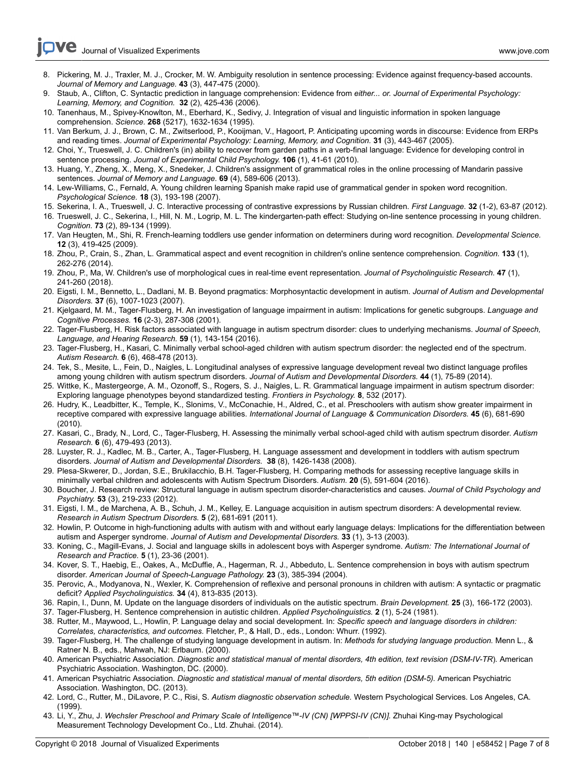- 8. Pickering, M. J., Traxler, M. J., Crocker, M. W. Ambiguity resolution in sentence processing: Evidence against frequency-based accounts. *Journal of Memory and Language.* **43** (3), 447-475 (2000).
- 9. Staub, A., Clifton, C. Syntactic prediction in language comprehension: Evidence from *either... or. Journal of Experimental Psychology: Learning, Memory, and Cognition.* **32** (2), 425-436 (2006).
- 10. Tanenhaus, M., Spivey-Knowlton, M., Eberhard, K., Sedivy, J. Integration of visual and linguistic information in spoken language comprehension. *Science.* **268** (5217), 1632-1634 (1995).
- 11. Van Berkum, J. J., Brown, C. M., Zwitserlood, P., Kooijman, V., Hagoort, P. Anticipating upcoming words in discourse: Evidence from ERPs and reading times. *Journal of Experimental Psychology: Learning, Memory, and Cognition.* **31** (3), 443-467 (2005).
- 12. Choi, Y., Trueswell, J. C. Children's (in) ability to recover from garden paths in a verb-final language: Evidence for developing control in sentence processing. *Journal of Experimental Child Psychology.* **106** (1), 41-61 (2010).
- 13. Huang, Y., Zheng, X., Meng, X., Snedeker, J. Children's assignment of grammatical roles in the online processing of Mandarin passive sentences. *Journal of Memory and Language.* **69** (4), 589-606 (2013).
- 14. Lew-Williams, C., Fernald, A. Young children learning Spanish make rapid use of grammatical gender in spoken word recognition. *Psychological Science.* **18** (3), 193-198 (2007).
- 15. Sekerina, I. A., Trueswell, J. C. Interactive processing of contrastive expressions by Russian children. *First Language.* **32** (1-2), 63-87 (2012).
- 16. Trueswell, J. C., Sekerina, I., Hill, N. M., Logrip, M. L. The kindergarten-path effect: Studying on-line sentence processing in young children. *Cognition.* **73** (2), 89-134 (1999).
- 17. Van Heugten, M., Shi, R. French-learning toddlers use gender information on determiners during word recognition. *Developmental Science.* **12** (3), 419-425 (2009).
- 18. Zhou, P., Crain, S., Zhan, L. Grammatical aspect and event recognition in children's online sentence comprehension. *Cognition.* **133** (1), 262-276 (2014).
- 19. Zhou, P., Ma, W. Children's use of morphological cues in real-time event representation. *Journal of Psycholinguistic Research.* **47** (1), 241-260 (2018).
- 20. Eigsti, I. M., Bennetto, L., Dadlani, M. B. Beyond pragmatics: Morphosyntactic development in autism. *Journal of Autism and Developmental Disorders.* **37** (6), 1007-1023 (2007).
- 21. Kjelgaard, M. M., Tager-Flusberg, H. An investigation of language impairment in autism: Implications for genetic subgroups. *Language and Cognitive Processes.* **16** (2-3), 287-308 (2001).
- 22. Tager-Flusberg, H. Risk factors associated with language in autism spectrum disorder: clues to underlying mechanisms. *Journal of Speech, Language, and Hearing Research.* **59** (1), 143-154 (2016).
- 23. Tager-Flusberg, H., Kasari, C. Minimally verbal school-aged children with autism spectrum disorder: the neglected end of the spectrum. *Autism Research.* **6** (6), 468-478 (2013).
- 24. Tek, S., Mesite, L., Fein, D., Naigles, L. Longitudinal analyses of expressive language development reveal two distinct language profiles among young children with autism spectrum disorders. *Journal of Autism and Developmental Disorders.* **44** (1), 75-89 (2014).
- 25. Wittke, K., Mastergeorge, A. M., Ozonoff, S., Rogers, S. J., Naigles, L. R. Grammatical language impairment in autism spectrum disorder: Exploring language phenotypes beyond standardized testing. *Frontiers in Psychology.* **8**, 532 (2017).
- 26. Hudry, K., Leadbitter, K., Temple, K., Slonims, V., McConachie, H., Aldred, C., et al. Preschoolers with autism show greater impairment in receptive compared with expressive language abilities. *International Journal of Language & Communication Disorders.* **45** (6), 681-690 (2010).
- 27. Kasari, C., Brady, N., Lord, C., Tager-Flusberg, H. Assessing the minimally verbal school-aged child with autism spectrum disorder. *Autism Research.* **6** (6), 479-493 (2013).
- 28. Luyster, R. J., Kadlec, M. B., Carter, A., Tager-Flusberg, H. Language assessment and development in toddlers with autism spectrum disorders. *Journal of Autism and Developmental Disorders.* **38** (8), 1426-1438 (2008).
- 29. Plesa-Skwerer, D., Jordan, S.E., Brukilacchio, B.H. Tager-Flusberg, H. Comparing methods for assessing receptive language skills in minimally verbal children and adolescents with Autism Spectrum Disorders. *Autism.* **20** (5), 591-604 (2016).
- 30. Boucher, J. Research review: Structural language in autism spectrum disorder-characteristics and causes. *Journal of Child Psychology and Psychiatry.* **53** (3), 219-233 (2012).
- 31. Eigsti, I. M., de Marchena, A. B., Schuh, J. M., Kelley, E. Language acquisition in autism spectrum disorders: A developmental review. *Research in Autism Spectrum Disorders.* **5** (2), 681-691 (2011).
- 32. Howlin, P. Outcome in high-functioning adults with autism with and without early language delays: Implications for the differentiation between autism and Asperger syndrome. *Journal of Autism and Developmental Disorders.* **33** (1), 3-13 (2003).
- 33. Koning, C., Magill-Evans, J. Social and language skills in adolescent boys with Asperger syndrome. *Autism: The International Journal of Research and Practice.* **5** (1), 23-36 (2001).
- 34. Kover, S. T., Haebig, E., Oakes, A., McDuffie, A., Hagerman, R. J., Abbeduto, L. Sentence comprehension in boys with autism spectrum disorder. *American Journal of Speech-Language Pathology.* **23** (3), 385-394 (2004).
- 35. Perovic, A., Modyanova, N., Wexler, K. Comprehension of reflexive and personal pronouns in children with autism: A syntactic or pragmatic deficit? *Applied Psycholinguistics.* **34** (4), 813-835 (2013).
- 36. Rapin, I., Dunn, M. Update on the language disorders of individuals on the autistic spectrum. *Brain Development.* **25** (3), 166-172 (2003).
- 37. Tager-Flusberg, H. Sentence comprehension in autistic children. *Applied Psycholinguistics.* **2** (1), 5-24 (1981).
- 38. Rutter, M., Maywood, L., Howlin, P. Language delay and social development. In: *Specific speech and language disorders in children: Correlates, characteristics, and outcomes.* Fletcher, P., & Hall, D., eds., London: Whurr. (1992).
- 39. Tager-Flusberg, H. The challenge of studying language development in autism. In: *Methods for studying language production.* Menn L., & Ratner N. B., eds., Mahwah, NJ: Erlbaum. (2000).
- 40. American Psychiatric Association. Diagnostic and statistical manual of mental disorders, 4th edition, text revision (DSM-IV-TR). American Psychiatric Association. Washington, DC. (2000).
- 41. American Psychiatric Association. *Diagnostic and statistical manual of mental disorders, 5th edition (DSM-5).* American Psychiatric Association. Washington, DC. (2013).
- 42. Lord, C., Rutter, M., DiLavore, P. C., Risi, S. *Autism diagnostic observation schedule.* Western Psychological Services. Los Angeles, CA. (1999).
- 43. Li, Y., Zhu, J. *Wechsler Preschool and Primary Scale of Intelligence™-IV (CN) [WPPSI-IV (CN)].* Zhuhai King-may Psychological Measurement Technology Development Co., Ltd. Zhuhai. (2014).